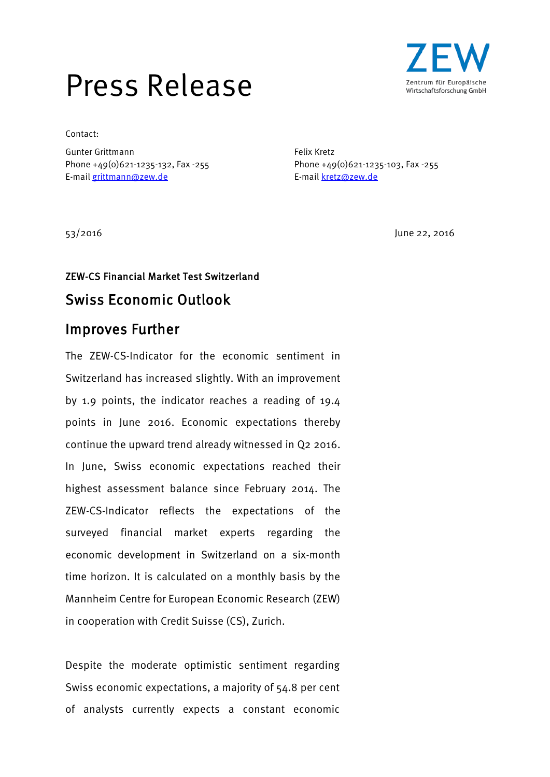# Press Release



Contact:

Gunter Grittmann Felix Kretz Phone +49(0)621-1235-132, Fax -255 Phone +49(0)621-1235-103, Fax -255 E-mail [grittmann@zew.de](mailto:grittmann@zew.de) exercise exercise E-mail [kretz@zew.de](mailto:kretz@zew.de)

53/2016 June 22, 2016

## ZEW-CS Financial Market Test Switzerland Swiss Economic Outlook

### Improves Further

The ZEW-CS-Indicator for the economic sentiment in Switzerland has increased slightly. With an improvement by 1.9 points, the indicator reaches a reading of 19.4 points in June 2016. Economic expectations thereby continue the upward trend already witnessed in Q2 2016. In June, Swiss economic expectations reached their highest assessment balance since February 2014. The ZEW-CS-Indicator reflects the expectations of the surveyed financial market experts regarding the economic development in Switzerland on a six-month time horizon. It is calculated on a monthly basis by the Mannheim Centre for European Economic Research (ZEW) in cooperation with Credit Suisse (CS), Zurich.

Despite the moderate optimistic sentiment regarding Swiss economic expectations, a majority of 54.8 per cent of analysts currently expects a constant economic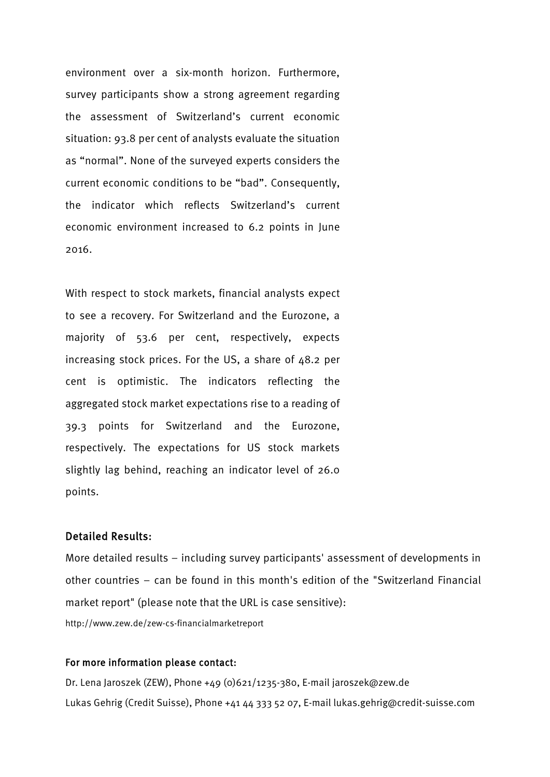environment over a six-month horizon. Furthermore, survey participants show a strong agreement regarding the assessment of Switzerland's current economic situation: 93.8 per cent of analysts evaluate the situation as "normal". None of the surveyed experts considers the current economic conditions to be "bad". Consequently, the indicator which reflects Switzerland's current economic environment increased to 6.2 points in June 2016.

With respect to stock markets, financial analysts expect to see a recovery. For Switzerland and the Eurozone, a majority of 53.6 per cent, respectively, expects increasing stock prices. For the US, a share of 48.2 per cent is optimistic. The indicators reflecting the aggregated stock market expectations rise to a reading of 39.3 points for Switzerland and the Eurozone, respectively. The expectations for US stock markets slightly lag behind, reaching an indicator level of 26.0 points.

#### Detailed Results:

More detailed results – including survey participants' assessment of developments in other countries – can be found in this month's edition of the "Switzerland Financial market report" (please note that the URL is case sensitive): http://www.zew.de/zew-cs-financialmarketreport

#### For more information please contact:

Dr. Lena Jaroszek (ZEW), Phone +49 (0)621/1235-380, E-mail [jaroszek@zew.de](mailto:jaroszek@zew.de) Lukas Gehrig (Credit Suisse), Phone +41 44 333 52 07, E-mail lukas.gehrig@credit-suisse.com